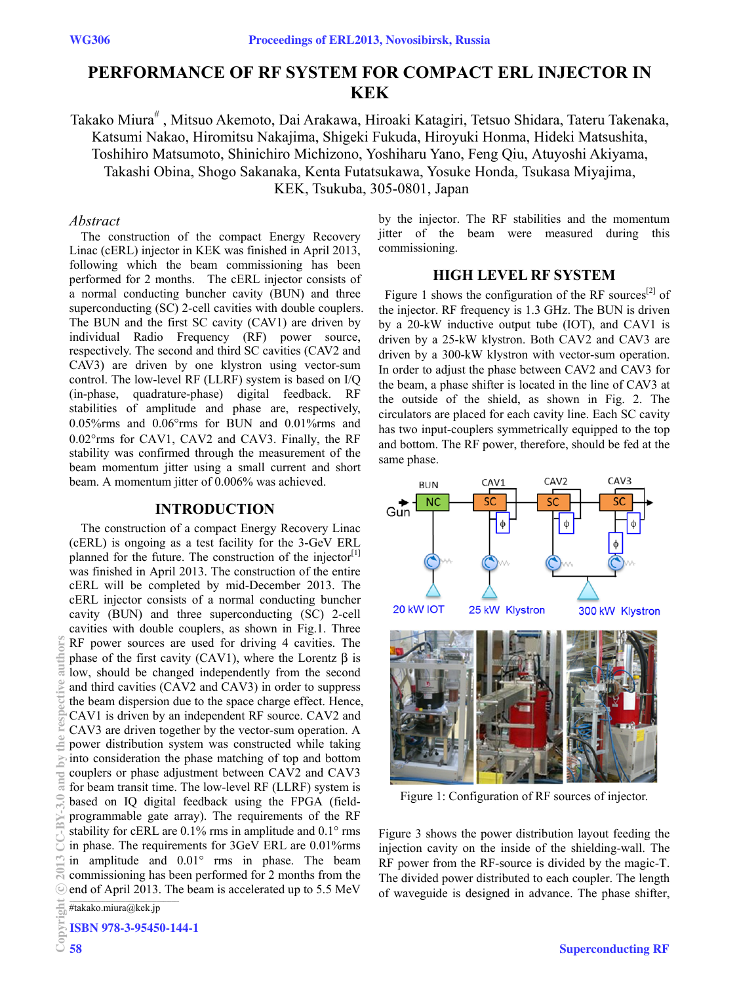# **PERFORMANCE OF RF SYSTEM FOR COMPACT ERL INJECTOR IN KEK**

Takako Miura<sup>#</sup> , Mitsuo Akemoto, Dai Arakawa, Hiroaki Katagiri, Tetsuo Shidara, Tateru Takenaka, Katsumi Nakao, Hiromitsu Nakajima, Shigeki Fukuda, Hiroyuki Honma, Hideki Matsushita, Toshihiro Matsumoto, Shinichiro Michizono, Yoshiharu Yano, Feng Qiu, Atuyoshi Akiyama, Takashi Obina, Shogo Sakanaka, Kenta Futatsukawa, Yosuke Honda, Tsukasa Miyajima, KEK, Tsukuba, 305-0801, Japan

## *Abstract*

The construction of the compact Energy Recovery Linac (cERL) injector in KEK was finished in April 2013, following which the beam commissioning has been performed for 2 months. The cERL injector consists of a normal conducting buncher cavity (BUN) and three superconducting (SC) 2-cell cavities with double couplers. The BUN and the first SC cavity (CAV1) are driven by individual Radio Frequency (RF) power source, respectively. The second and third SC cavities (CAV2 and CAV3) are driven by one klystron using vector-sum control. The low-level RF (LLRF) system is based on I/Q (in-phase, quadrature-phase) digital feedback. RF stabilities of amplitude and phase are, respectively, 0.05%rms and 0.06°rms for BUN and 0.01%rms and 0.02°rms for CAV1, CAV2 and CAV3. Finally, the RF stability was confirmed through the measurement of the beam momentum jitter using a small current and short beam. A momentum jitter of 0.006% was achieved.

# **INTRODUCTION**

The construction of a compact Energy Recovery Linac (cERL) is ongoing as a test facility for the 3-GeV ERL planned for the future. The construction of the injector<sup>[1]</sup> was finished in April 2013. The construction of the entire cERL will be completed by mid-December 2013. The cERL injector consists of a normal conducting buncher cavity (BUN) and three superconducting (SC) 2-cell cavities with double couplers, as shown in Fig.1. Three RF power sources are used for driving 4 cavities. The phase of the first cavity (CAV1), where the Lorentz β is low, should be changed independently from the second and third cavities (CAV2 and CAV3) in order to suppress the beam dispersion due to the space charge effect. Hence, CAV1 is driven by an independent RF source. CAV2 and CAV3 are driven together by the vector-sum operation. A power distribution system was constructed while taking into consideration the phase matching of top and bottom couplers or phase adjustment between CAV2 and CAV3 for beam transit time. The low-level RF (LLRF) system is based on IQ digital feedback using the FPGA (fieldprogrammable gate array). The requirements of the RF stability for cERL are 0.1% rms in amplitude and 0.1° rms in phase. The requirements for 3GeV ERL are 0.01%rms in amplitude and 0.01° rms in phase. The beam commissioning has been performed for 2 months from the end of April 2013. The beam is accelerated up to 5.5 MeV

by the injector. The RF stabilities and the momentum jitter of the beam were measured during this commissioning.

## **HIGH LEVEL RF SYSTEM**

Figure 1 shows the configuration of the RF sources<sup>[2]</sup> of the injector. RF frequency is 1.3 GHz. The BUN is driven by a 20-kW inductive output tube (IOT), and CAV1 is driven by a 25-kW klystron. Both CAV2 and CAV3 are driven by a 300-kW klystron with vector-sum operation. In order to adjust the phase between CAV2 and CAV3 for the beam, a phase shifter is located in the line of CAV3 at the outside of the shield, as shown in Fig. 2. The circulators are placed for each cavity line. Each SC cavity has two input-couplers symmetrically equipped to the top and bottom. The RF power, therefore, should be fed at the same phase.



Figure 1: Configuration of RF sources of injector.

Figure 3 shows the power distribution layout feeding the injection cavity on the inside of the shielding-wall. The RF power from the RF-source is divided by the magic-T. The divided power distributed to each coupler. The length of waveguide is designed in advance. The phase shifter,

#takako.miura@kek.jp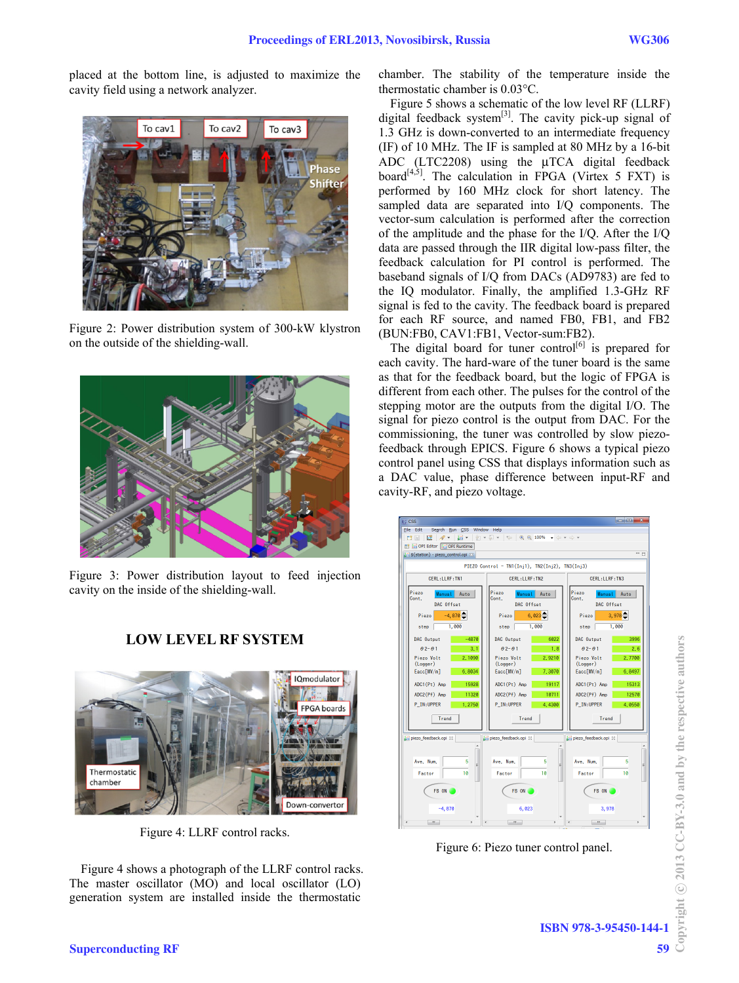placed at the bottom line, is adjusted to maximize the cavity field using a network analyzer.



Figure 2: Power distribution system of 300-kW klystron on the outside of the shielding-wall.



Figure 3: Power distribution layout to feed injection cavity on the inside of the shielding-wall.

## **LOW LEVEL RF SYSTEM**



Figure 4: LLRF control racks.

Figure 4 shows a photograph of the LLRF control racks. The master oscillator (MO) and local oscillator (LO) generation system are installed inside the thermostatic

chamber. The stability of the temperature inside the thermostatic chamber is 0.03°C.

Figure 5 shows a schematic of the low level RF (LLRF) digital feedback system<sup>[3]</sup>. The cavity pick-up signal of 1.3 GHz is down-converted to an intermediate frequency (IF) of 10 MHz. The IF is sampled at 80 MHz by a 16-bit ADC (LTC2208) using the μTCA digital feedback board $[4,5]$ . The calculation in FPGA (Virtex 5 FXT) is performed by 160 MHz clock for short latency. The sampled data are separated into I/Q components. The vector-sum calculation is performed after the correction of the amplitude and the phase for the I/Q. After the I/Q data are passed through the IIR digital low-pass filter, the feedback calculation for PI control is performed. The baseband signals of I/Q from DACs (AD9783) are fed to the IQ modulator. Finally, the amplified 1.3-GHz RF signal is fed to the cavity. The feedback board is prepared for each RF source, and named FB0, FB1, and FB2 (BUN:FB0, CAV1:FB1, Vector-sum:FB2).

The digital board for tuner control<sup>[6]</sup> is prepared for each cavity. The hard-ware of the tuner board is the same as that for the feedback board, but the logic of FPGA is different from each other. The pulses for the control of the stepping motor are the outputs from the digital I/O. The signal for piezo control is the output from DAC. For the commissioning, the tuner was controlled by slow piezofeedback through EPICS. Figure 6 shows a typical piezo control panel using CSS that displays information such as a DAC value, phase difference between input-RF and cavity-RF, and piezo voltage.



Figure 6: Piezo tuner control panel.

Copyright  $\odot$  2013 CC-BY-3.0 and by the respective authors Copyright © 2013 CC-BY-3.0 and by the respective authors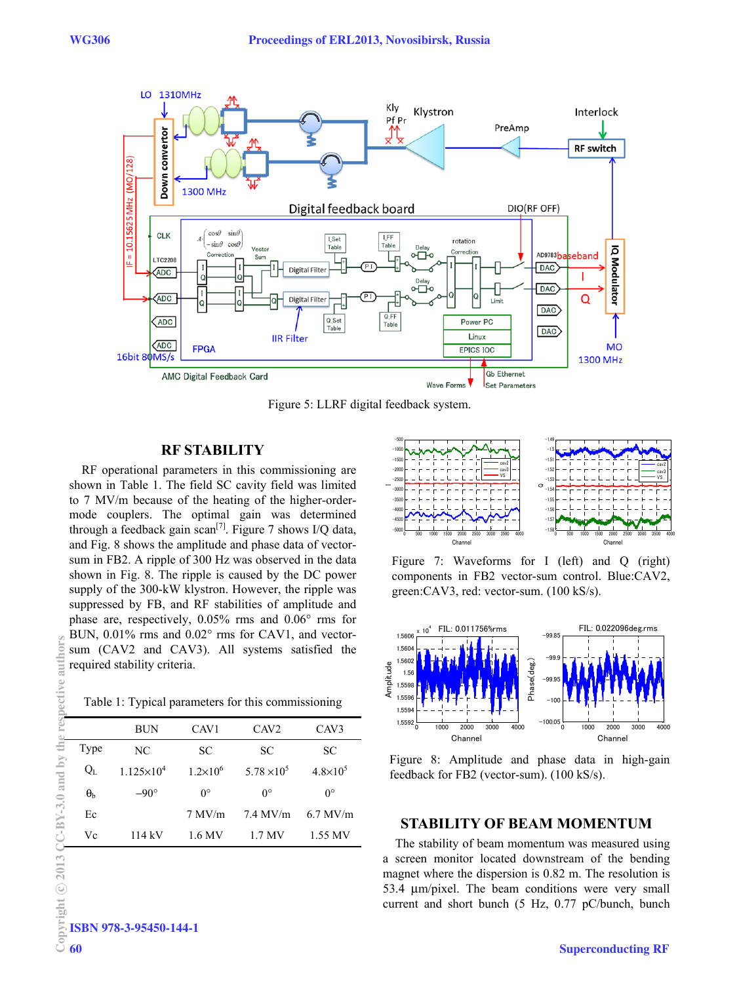

Figure 5: LLRF digital feedback system.

# **RF STABILITY**

RF operational parameters in this commissioning are shown in Table 1. The field SC cavity field was limited to 7 MV/m because of the heating of the higher-ordermode couplers. The optimal gain was determined through a feedback gain scan<sup>[7]</sup>. Figure 7 shows I/Q data, and Fig. 8 shows the amplitude and phase data of vectorsum in FB2. A ripple of 300 Hz was observed in the data shown in Fig. 8. The ripple is caused by the DC power supply of the 300-kW klystron. However, the ripple was suppressed by FB, and RF stabilities of amplitude and phase are, respectively, 0.05% rms and 0.06° rms for BUN, 0.01% rms and 0.02° rms for CAV1, and vectorsum (CAV2 and CAV3). All systems satisfied the required stability criteria.

Table 1: Typical parameters for this commissioning

|                  | BUN                 | CAV <sub>1</sub>  | CAV <sub>2</sub>   | CAV3                |
|------------------|---------------------|-------------------|--------------------|---------------------|
| Type             | NC.                 | SС                | SC.                | SC                  |
| $Q_{\rm L}$      | $1.125\times10^{4}$ | $1.2\times10^{6}$ | $5.78 \times 10^5$ | $4.8 \times 10^{5}$ |
| $\theta_{\rm b}$ | $-90^\circ$         | $0^{\circ}$       | $0^{\circ}$        | $0^{\circ}$         |
| Ec               |                     | 7 M V/m           | $7.4$ MV/m         | $6.7$ MV/m          |
| Vc               | 114 kV              | 1.6 MV            | 1.7 MV             | 1.55 MV             |



Figure 7: Waveforms for I (left) and Q (right) components in FB2 vector-sum control. Blue:CAV2, green:CAV3, red: vector-sum. (100 kS/s).



Figure 8: Amplitude and phase data in high-gain feedback for FB2 (vector-sum). (100 kS/s).

## **STABILITY OF BEAM MOMENTUM**

The stability of beam momentum was measured using a screen monitor located downstream of the bending magnet where the dispersion is 0.82 m. The resolution is 53.4 μm/pixel. The beam conditions were very small current and short bunch (5 Hz, 0.77 pC/bunch, bunch